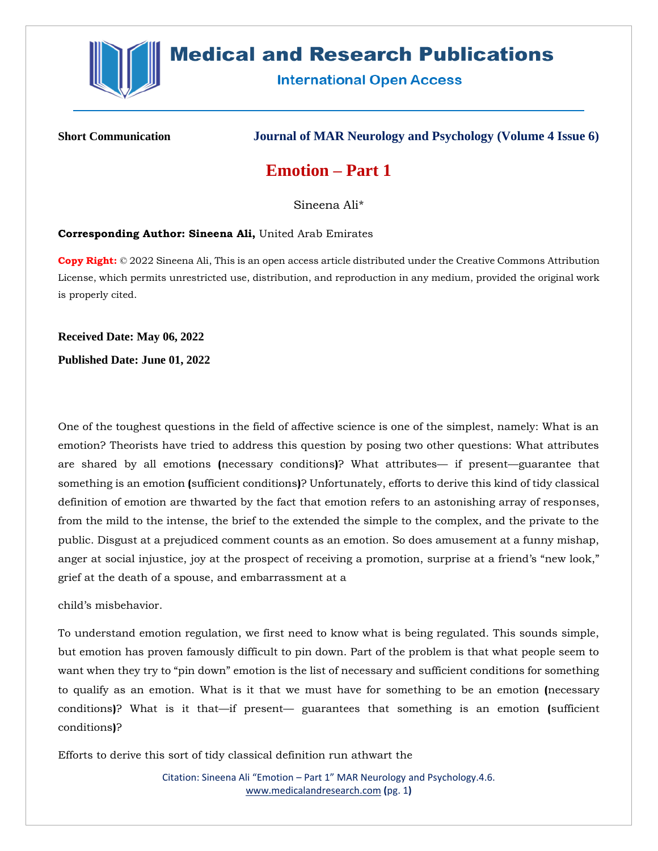

# **Medical and Research Publications**

**International Open Access** 

**Short Communication Journal of MAR Neurology and Psychology (Volume 4 Issue 6)**

## **Emotion – Part 1**

Sineena Ali\*

#### **Corresponding Author: Sineena Ali,** United Arab Emirates

**Copy Right:** © 2022 Sineena Ali, This is an open access article distributed under the Creative Commons Attribution License, which permits unrestricted use, distribution, and reproduction in any medium, provided the original work is properly cited.

**Received Date: May 06, 2022**

**Published Date: June 01, 2022**

One of the toughest questions in the field of affective science is one of the simplest, namely: What is an emotion? Theorists have tried to address this question by posing two other questions: What attributes are shared by all emotions **(**necessary conditions**)**? What attributes— if present—guarantee that something is an emotion **(**sufficient conditions**)**? Unfortunately, efforts to derive this kind of tidy classical definition of emotion are thwarted by the fact that emotion refers to an astonishing array of responses, from the mild to the intense, the brief to the extended the simple to the complex, and the private to the public. Disgust at a prejudiced comment counts as an emotion. So does amusement at a funny mishap, anger at social injustice, joy at the prospect of receiving a promotion, surprise at a friend's "new look," grief at the death of a spouse, and embarrassment at a

child's misbehavior.

To understand emotion regulation, we first need to know what is being regulated. This sounds simple, but emotion has proven famously difficult to pin down. Part of the problem is that what people seem to want when they try to "pin down" emotion is the list of necessary and sufficient conditions for something to qualify as an emotion. What is it that we must have for something to be an emotion **(**necessary conditions**)**? What is it that—if present— guarantees that something is an emotion **(**sufficient conditions**)**?

Efforts to derive this sort of tidy classical definition run athwart the

Citation: Sineena Ali "Emotion – Part 1" MAR Neurology and Psychology.4.6. [www.medicalandresearch.com](http://www.medicalandresearch.com/) **(**pg. 1**)**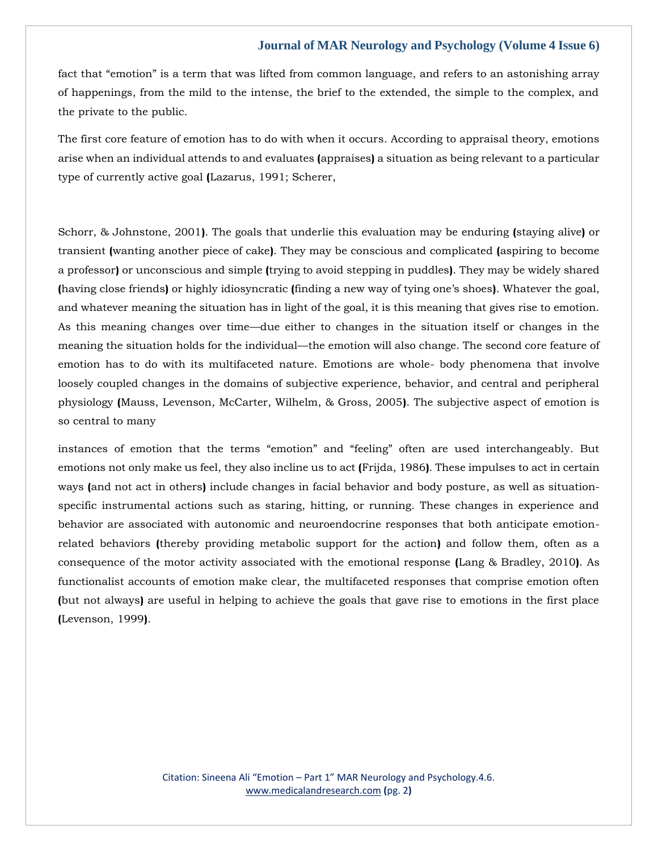#### **Journal of MAR Neurology and Psychology (Volume 4 Issue 6)**

fact that "emotion" is a term that was lifted from common language, and refers to an astonishing array of happenings, from the mild to the intense, the brief to the extended, the simple to the complex, and the private to the public.

The first core feature of emotion has to do with when it occurs. According to appraisal theory, emotions arise when an individual attends to and evaluates **(**appraises**)** a situation as being relevant to a particular type of currently active goal **(**Lazarus, 1991; Scherer,

Schorr, & Johnstone, 2001**)**. The goals that underlie this evaluation may be enduring **(**staying alive**)** or transient **(**wanting another piece of cake**)**. They may be conscious and complicated **(**aspiring to become a professor**)** or unconscious and simple **(**trying to avoid stepping in puddles**)**. They may be widely shared **(**having close friends**)** or highly idiosyncratic **(**finding a new way of tying one's shoes**)**. Whatever the goal, and whatever meaning the situation has in light of the goal, it is this meaning that gives rise to emotion. As this meaning changes over time—due either to changes in the situation itself or changes in the meaning the situation holds for the individual—the emotion will also change. The second core feature of emotion has to do with its multifaceted nature. Emotions are whole- body phenomena that involve loosely coupled changes in the domains of subjective experience, behavior, and central and peripheral physiology **(**Mauss, Levenson, McCarter, Wilhelm, & Gross, 2005**)**. The subjective aspect of emotion is so central to many

instances of emotion that the terms "emotion" and "feeling" often are used interchangeably. But emotions not only make us feel, they also incline us to act **(**Frijda, 1986**)**. These impulses to act in certain ways **(**and not act in others**)** include changes in facial behavior and body posture, as well as situationspecific instrumental actions such as staring, hitting, or running. These changes in experience and behavior are associated with autonomic and neuroendocrine responses that both anticipate emotionrelated behaviors **(**thereby providing metabolic support for the action**)** and follow them, often as a consequence of the motor activity associated with the emotional response **(**Lang & Bradley, 2010**)**. As functionalist accounts of emotion make clear, the multifaceted responses that comprise emotion often **(**but not always**)** are useful in helping to achieve the goals that gave rise to emotions in the first place **(**Levenson, 1999**)**.